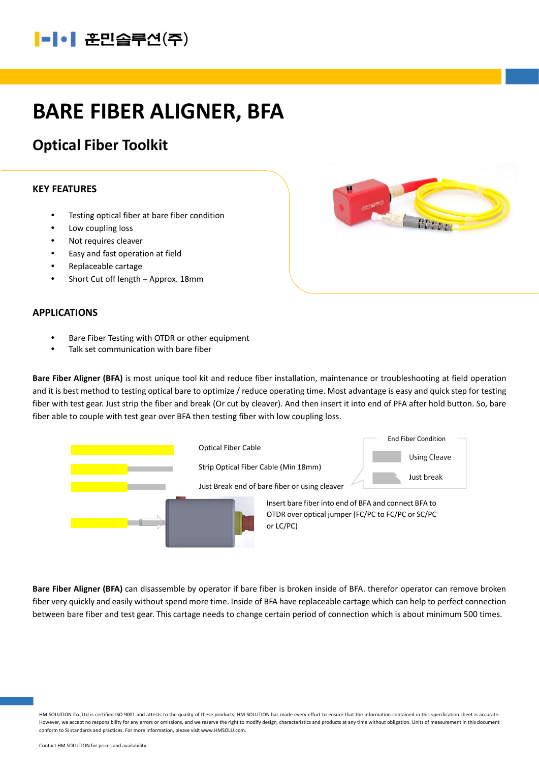## |-|•| 훈민솔루션(주)

# BARE FIBER ALIGNER, BFA

### Optical Fiber Toolkit

#### KEY FEATURES

- Testing optical fiber at bare fiber condition
- Low coupling loss
- Not requires cleaver
- Easy and fast operation at field
- Replaceable cartage
- Short Cut off length Approx. 18mm

### APPLICATIONS

- Bare Fiber Testing with OTDR or other equipment
- Talk set communication with bare fiber

Bare Fiber Aligner (BFA) is most unique tool kit and reduce fiber installation, maintenance or troubleshooting at field operation and it is best method to testing optical bare to optimize / reduce operating time. Most advantage is easy and quick step for testing fiber with test gear. Just strip the fiber and break (Or cut by cleaver). And then insert it into end of PFA after hold button. So, bare fiber able to couple with test gear over BFA then testing fiber with low coupling loss.



Bare Fiber Aligner (BFA) can disassemble by operator if bare fiber is broken inside of BFA. therefor operator can remove broken fiber very quickly and easily without spend more time. Inside of BFA have replaceable cartage which can help to perfect connection between bare fiber and test gear. This cartage needs to change certain period of connection which is about minimum 500 times.

HM SOLUTION Co.,Ltd is certified ISO 9001 and attests to the quality of these products. HM SOLUTION has made every effort to ensure that the information contained in this specification sheet is accurate. However, we accept no responsibility for any errors or omissions, and we reserve the right to modify design, characteristics and products at any time without obligation. Units of measurement in this document conform to SI standards and practices. For more information, please visit www.HMSOLU.com.